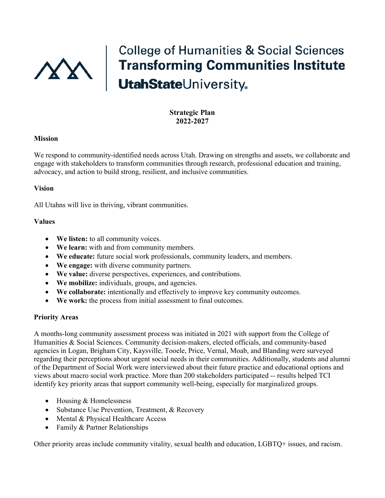

# **College of Humanities & Social Sciences** Transforming Communities Institute<br>UtahStateUniversity。

# **Strategic Plan 2022-2027**

### **Mission**

We respond to community-identified needs across Utah. Drawing on strengths and assets, we collaborate and engage with stakeholders to transform communities through research, professional education and training, advocacy, and action to build strong, resilient, and inclusive communities.

### **Vision**

All Utahns will live in thriving, vibrant communities.

### **Values**

- **We listen:** to all community voices.
- **We learn:** with and from community members.
- **We educate:** future social work professionals, community leaders, and members.
- **We engage:** with diverse community partners.
- **We value:** diverse perspectives, experiences, and contributions.
- **We mobilize:** individuals, groups, and agencies.
- **We collaborate:** intentionally and effectively to improve key community outcomes.
- **We work:** the process from initial assessment to final outcomes.

#### **Priority Areas**

A months-long community assessment process was initiated in 2021 with support from the College of Humanities & Social Sciences. Community decision-makers, elected officials, and community-based agencies in Logan, Brigham City, Kaysville, Tooele, Price, Vernal, Moab, and Blanding were surveyed regarding their perceptions about urgent social needs in their communities. Additionally, students and alumni of the Department of Social Work were interviewed about their future practice and educational options and views about macro social work practice. More than 200 stakeholders participated -- results helped TCI identify key priority areas that support community well-being, especially for marginalized groups.

- Housing & Homelessness
- Substance Use Prevention, Treatment, & Recovery
- Mental & Physical Healthcare Access
- Family & Partner Relationships

Other priority areas include community vitality, sexual health and education, LGBTQ+ issues, and racism.